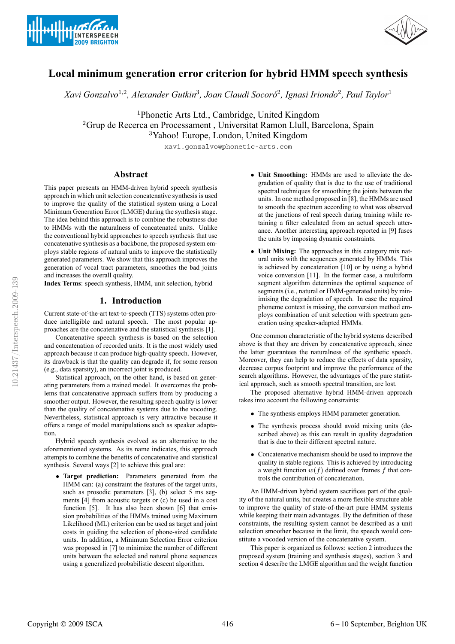



# **Local minimum generation error criterion for hybrid HMM speech synthesis**

*Xavi Gonzalvo*<sup>1</sup>,<sup>2</sup>*, Alexander Gutkin*<sup>3</sup>*, Joan Claudi Socoro´*<sup>2</sup>*, Ignasi Iriondo*<sup>2</sup>*, Paul Taylor*<sup>1</sup>

<sup>1</sup>Phonetic Arts Ltd., Cambridge, United Kingdom

<sup>2</sup>Grup de Recerca en Processament , Universitat Ramon Llull, Barcelona, Spain

<sup>3</sup>Yahoo! Europe, London, United Kingdom

xavi.gonzalvo@phonetic-arts.com

# **Abstract**

This paper presents an HMM-driven hybrid speech synthesis approach in which unit selection concatenative synthesis is used to improve the quality of the statistical system using a Local Minimum Generation Error (LMGE) during the synthesis stage. The idea behind this approach is to combine the robustness due to HMMs with the naturalness of concatenated units. Unlike the conventional hybrid approaches to speech synthesis that use concatenative synthesis as a backbone, the proposed system employs stable regions of natural units to improve the statistically generated parameters. We show that this approach improves the generation of vocal tract parameters, smoothes the bad joints and increases the overall quality.

**Index Terms**: speech synthesis, HMM, unit selection, hybrid

## **1. Introduction**

Current state-of-the-art text-to-speech (TTS) systems often produce intelligible and natural speech. The most popular approaches are the concatenative and the statistical synthesis [1].

Concatenative speech synthesis is based on the selection and concatenation of recorded units. It is the most widely used approach because it can produce high-quality speech. However, its drawback is that the quality can degrade if, for some reason (e.g., data sparsity), an incorrect joint is produced.

Statistical approach, on the other hand, is based on generating parameters from a trained model. It overcomes the problems that concatenative approach suffers from by producing a smoother output. However, the resulting speech quality is lower than the quality of concatenative systems due to the vocoding. Nevertheless, statistical approach is very attractive because it offers a range of model manipulations such as speaker adaptation.

Hybrid speech synthesis evolved as an alternative to the aforementioned systems. As its name indicates, this approach attempts to combine the benefits of concatenative and statistical synthesis. Several ways [2] to achieve this goal are:

• **Target prediction:** Parameters generated from the HMM can: (a) constraint the features of the target units, such as prosodic parameters [3], (b) select 5 ms segments [4] from acoustic targets or (c) be used in a cost function [5]. It has also been shown [6] that emission probabilities of the HMMs trained using Maximum Likelihood (ML) criterion can be used as target and joint costs in guiding the selection of phone-sized candidate units. In addition, a Minimum Selection Error criterion was proposed in [7] to minimize the number of different units between the selected and natural phone sequences using a generalized probabilistic descent algorithm.

- **Unit Smoothing:** HMMs are used to alleviate the degradation of quality that is due to the use of traditional spectral techniques for smoothing the joints between the units. In one method proposed in [8], the HMMs are used to smooth the spectrum according to what was observed at the junctions of real speech during training while retaining a filter calculated from an actual speech utterance. Another interesting approach reported in [9] fuses the units by imposing dynamic constraints.
- **Unit Mixing:** The approaches in this category mix natural units with the sequences generated by HMMs. This is achieved by concatenation [10] or by using a hybrid voice conversion [11]. In the former case, a multiform segment algorithm determines the optimal sequence of segments (i.e., natural or HMM-generated units) by minimising the degradation of speech. In case the required phoneme context is missing, the conversion method employs combination of unit selection with spectrum generation using speaker-adapted HMMs.

One common characteristic of the hybrid systems described above is that they are driven by concatenative approach, since the latter guarantees the naturalness of the synthetic speech. Moreover, they can help to reduce the effects of data sparsity, decrease corpus footprint and improve the performance of the search algorithms. However, the advantages of the pure statistical approach, such as smooth spectral transition, are lost.

The proposed alternative hybrid HMM-driven approach takes into account the following constraints:

- The synthesis employs HMM parameter generation.
- The synthesis process should avoid mixing units (described above) as this can result in quality degradation that is due to their different spectral nature.
- Concatenative mechanism should be used to improve the quality in stable regions. This is achieved by introducing a weight function  $w(f)$  defined over frames f that controls the contribution of concatenation.

An HMM-driven hybrid system sacrifices part of the quality of the natural units, but creates a more flexible structure able to improve the quality of state-of-the-art pure HMM systems while keeping their main advantages. By the definition of these constraints, the resulting system cannot be described as a unit selection smoother because in the limit, the speech would constitute a vocoded version of the concatenative system.

This paper is organized as follows: section 2 introduces the proposed system (training and synthesis stages), section 3 and section 4 describe the LMGE algorithm and the weight function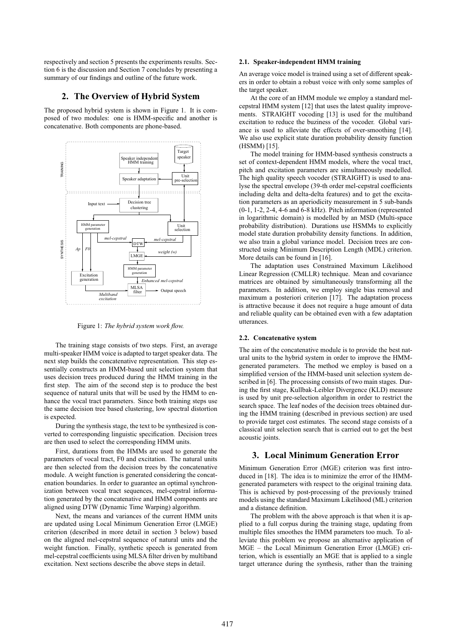respectively and section 5 presents the experiments results. Section 6 is the discussion and Section 7 concludes by presenting a summary of our findings and outline of the future work.

## **2. The Overview of Hybrid System**

The proposed hybrid system is shown in Figure 1. It is composed of two modules: one is HMM-specific and another is concatenative. Both components are phone-based.



Figure 1: *The hybrid system work flow.*

The training stage consists of two steps. First, an average multi-speaker HMM voice is adapted to target speaker data. The next step builds the concatenative representation. This step essentially constructs an HMM-based unit selection system that uses decision trees produced during the HMM training in the first step. The aim of the second step is to produce the best sequence of natural units that will be used by the HMM to enhance the vocal tract parameters. Since both training steps use the same decision tree based clustering, low spectral distortion is expected.

During the synthesis stage, the text to be synthesized is converted to corresponding linguistic specification. Decision trees are then used to select the corresponding HMM units.

First, durations from the HMMs are used to generate the parameters of vocal tract, F0 and excitation. The natural units are then selected from the decision trees by the concatenative module. A weight function is generated considering the concatenation boundaries. In order to guarantee an optimal synchronization between vocal tract sequences, mel-cepstral information generated by the concatenative and HMM components are aligned using DTW (Dynamic Time Warping) algorithm.

Next, the means and variances of the current HMM units are updated using Local Minimum Generation Error (LMGE) criterion (described in more detail in section 3 below) based on the aligned mel-cepstral sequence of natural units and the weight function. Finally, synthetic speech is generated from mel-cepstral coefficients using MLSA filter driven by multiband excitation. Next sections describe the above steps in detail.

#### **2.1. Speaker-independent HMM training**

An average voice model is trained using a set of different speakers in order to obtain a robust voice with only some samples of the target speaker.

At the core of an HMM module we employ a standard melcepstral HMM system [12] that uses the latest quality improvements. STRAIGHT vocoding [13] is used for the multiband excitation to reduce the buziness of the vocoder. Global variance is used to alleviate the effects of over-smoothing [14]. We also use explicit state duration probability density function (HSMM) [15].

The model training for HMM-based synthesis constructs a set of context-dependent HMM models, where the vocal tract, pitch and excitation parameters are simultaneously modelled. The high quality speech vocoder (STRAIGHT) is used to analyse the spectral envelope (39-th order mel-cepstral coefficients including delta and delta-delta features) and to get the excitation parameters as an aperiodicity measurement in 5 sub-bands (0-1, 1-2, 2-4, 4-6 and 6-8 kHz). Pitch information (represented in logarithmic domain) is modelled by an MSD (Multi-space probability distribution). Durations use HSMMs to explicitly model state duration probability density functions. In addition, we also train a global variance model. Decision trees are constructed using Minimum Description Length (MDL) criterion. More details can be found in [16].

The adaptation uses Constrained Maximum Likelihood Linear Regression (CMLLR) technique. Mean and covariance matrices are obtained by simultaneously transforming all the parameters. In addition, we employ single bias removal and maximum a posteriori criterion [17]. The adaptation process is attractive because it does not require a huge amount of data and reliable quality can be obtained even with a few adaptation utterances.

#### **2.2. Concatenative system**

The aim of the concatenative module is to provide the best natural units to the hybrid system in order to improve the HMMgenerated parameters. The method we employ is based on a simplified version of the HMM-based unit selection system described in [6]. The processing consists of two main stages. During the first stage, Kullbak-Leibler Divergence (KLD) measure is used by unit pre-selection algorithm in order to restrict the search space. The leaf nodes of the decision trees obtained during the HMM training (described in previous section) are used to provide target cost estimates. The second stage consists of a classical unit selection search that is carried out to get the best acoustic joints.

# **3. Local Minimum Generation Error**

Minimum Generation Error (MGE) criterion was first introduced in [18]. The idea is to minimize the error of the HMMgenerated parameters with respect to the original training data. This is achieved by post-processing of the previously trained models using the standard Maximum Likelihood (ML) criterion and a distance definition.

The problem with the above approach is that when it is applied to a full corpus during the training stage, updating from multiple files smoothes the HMM parameters too much. To alleviate this problem we propose an alternative application of MGE – the Local Minimum Generation Error (LMGE) criterion, which is essentially an MGE that is applied to a single target utterance during the synthesis, rather than the training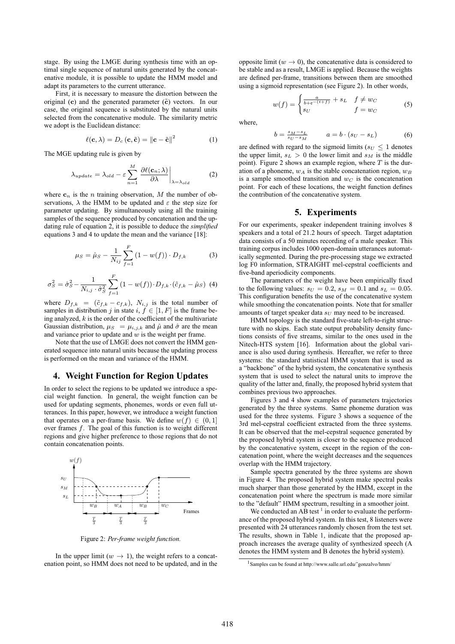stage. By using the LMGE during synthesis time with an optimal single sequence of natural units generated by the concatenative module, it is possible to update the HMM model and adapt its parameters to the current utterance.

First, it is necessary to measure the distortion between the original (c) and the generated parameter  $(\tilde{c})$  vectors. In our case, the original sequence is substituted by the natural units selected from the concatenative module. The similarity metric we adopt is the Euclidean distance:

$$
\ell(\mathbf{c}, \lambda) = D_c(\mathbf{c}, \tilde{\mathbf{c}}) = ||\mathbf{c} - \tilde{\mathbf{c}}||^2 \tag{1}
$$

The MGE updating rule is given by

$$
\lambda_{update} = \lambda_{old} - \varepsilon \sum_{n=1}^{M} \left. \frac{\partial \ell(\mathbf{c}_n; \lambda)}{\partial \lambda} \right|_{\lambda = \lambda_{old}} \tag{2}
$$

where  $c_n$  is the *n* training observation, *M* the number of observations,  $\lambda$  the HMM to be updated and  $\varepsilon$  the step size for parameter updating. By simultaneously using all the training samples of the sequence produced by concatenation and the updating rule of equation 2, it is possible to deduce the *simplified* equations 3 and 4 to update the mean and the variance [18]:

$$
\mu_S = \hat{\mu}_S - \frac{1}{N_{ij}} \sum_{f=1}^F (1 - w(f)) \cdot D_{f,k} \tag{3}
$$

$$
\sigma_S^2 = \hat{\sigma}_S^2 - \frac{1}{N_{i,j} \cdot \hat{\sigma}_S^2} \sum_{f=1}^F (1 - w(f)) \cdot D_{f,k} \cdot (\tilde{c}_{f,k} - \hat{\mu}_S) \tag{4}
$$

where  $D_{f,k} = (\tilde{c}_{f,k} - c_{f,k}), N_{i,j}$  is the total number of samples in distribution j in state  $i, f \in [1, F]$  is the frame being analyzed,  $k$  is the order of the coefficient of the multivariate Gaussian distribution,  $\mu_S = \mu_{i,j,k}$  and  $\hat{\mu}$  and  $\hat{\sigma}$  are the mean and variance prior to update and  $w$  is the weight per frame.

Note that the use of LMGE does not convert the HMM generated sequence into natural units because the updating process is performed on the mean and variance of the HMM.

### **4. Weight Function for Region Updates**

In order to select the regions to be updated we introduce a special weight function. In general, the weight function can be used for updating segments, phonemes, words or even full utterances. In this paper, however, we introduce a weight function that operates on a per-frame basis. We define  $w(f) \in (0, 1]$ over frames  $f$ . The goal of this function is to weight different regions and give higher preference to those regions that do not contain concatenation points.



Figure 2: *Per-frame weight function.*

In the upper limit ( $w \rightarrow 1$ ), the weight refers to a concatenation point, so HMM does not need to be updated, and in the

opposite limit ( $w \to 0$ ), the concatenative data is considered to be stable and as a result, LMGE is applied. Because the weights are defined per-frame, transitions between them are smoothed using a sigmoid representation (see Figure 2). In other words,

$$
w(f) = \begin{cases} \frac{a}{b + e^{-(t+f)}} + s_L & f \neq w_C \\ s_U & f = w_C \end{cases}
$$
 (5)

where,

$$
b = \frac{s_M - s_L}{s_U - s_M} \qquad a = b \cdot (s_U - s_L) \tag{6}
$$

are defined with regard to the sigmoid limits ( $s_U \leq 1$  denotes the upper limit,  $s_L > 0$  the lower limit and  $s_M$  is the middle point). Figure 2 shows an example region, where  $T$  is the duration of a phoneme,  $w_A$  is the stable concatenation region,  $w_B$ is a sample smoothed transition and  $w_C$  is the concatenation point. For each of these locations, the weight function defines the contribution of the concatenative system.

# **5. Experiments**

For our experiments, speaker independent training involves 8 speakers and a total of 21.2 hours of speech. Target adaptation data consists of a 50 minutes recording of a male speaker. This training corpus includes 1000 open-domain utterances automatically segmented. During the pre-processing stage we extracted log F0 information, STRAIGHT mel-cepstral coefficients and five-band aperiodicity components.

The parameters of the weight have been empirically fixed to the following values:  $s_U = 0.2$ ,  $s_M = 0.1$  and  $s_L = 0.05$ . This configuration benefits the use of the concatenative system while smoothing the concatenation points. Note that for smaller amounts of target speaker data  $s_U$  may need to be increased.

HMM topology is the standard five-state left-to-right structure with no skips. Each state output probability density functions consists of five streams, similar to the ones used in the Nitech-HTS system [16]. Information about the global variance is also used during synthesis. Hereafter, we refer to three systems: the standard statistical HMM system that is used as a "backbone" of the hybrid system, the concatenative synthesis system that is used to select the natural units to improve the quality of the latter and, finally, the proposed hybrid system that combines previous two approaches.

Figures 3 and 4 show examples of parameters trajectories generated by the three systems. Same phoneme duration was used for the three systems. Figure 3 shows a sequence of the 3rd mel-cepstral coefficient extracted from the three systems. It can be observed that the mel-cepstral sequence generated by the proposed hybrid system is closer to the sequence produced by the concatenative system, except in the region of the concatenation point, where the weight decreases and the sequences overlap with the HMM trajectory.

Sample spectra generated by the three systems are shown in Figure 4. The proposed hybrid system make spectral peaks much sharper than those generated by the HMM, except in the concatenation point where the spectrum is made more similar to the "default" HMM spectrum, resulting in a smoother joint.

We conducted an AB test<sup>1</sup> in order to evaluate the performance of the proposed hybrid system. In this test, 8 listeners were presented with 24 utterances randomly chosen from the test set. The results, shown in Table 1, indicate that the proposed approach increases the average quality of synthesized speech (A denotes the HMM system and B denotes the hybrid system).

<sup>1</sup>Samples can be found at http://www.salle.url.edu/˜gonzalvo/hmm/